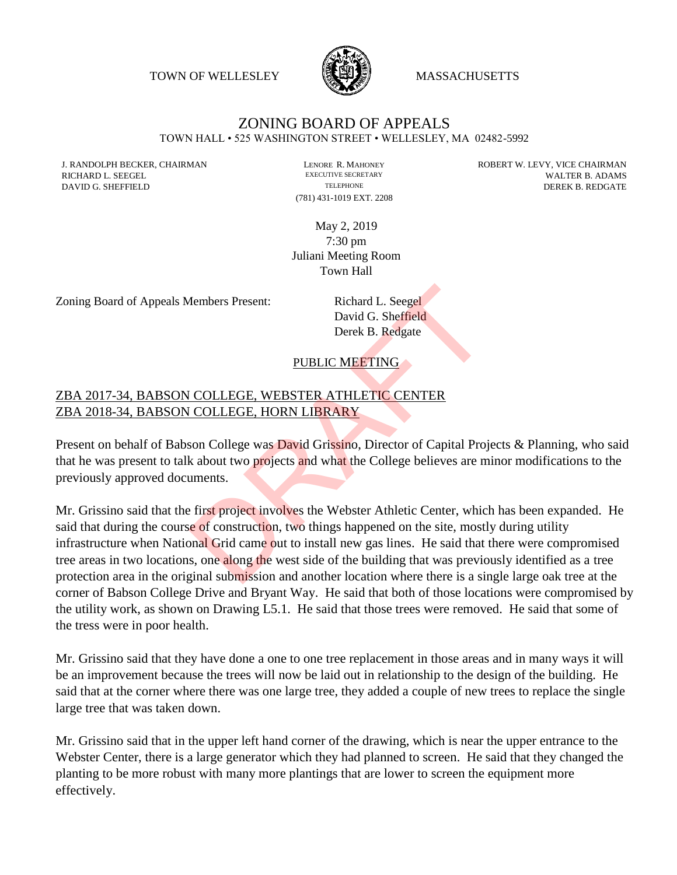TOWN OF WELLESLEY **WASSACHUSETTS** 



# ZONING BOARD OF APPEALS

TOWN HALL • 525 WASHINGTON STREET • WELLESLEY, MA 02482-5992

(781) 431-1019 EXT. 2208

J. RANDOLPH BECKER, CHAIRMAN LENORE R. MAHONEY LENORE R. MAHONEY ROBERT W. LEVY, VICE CHAIRMAN LENORE R. NALER RICHARD L. SEEGEL EXECUTIVE SECRETARY EXECUTIVE SECRETARY WALTER B. ADAMS DAVID G. SHEFFIELD TELEPHONE TELEPHONE TELEPHONE TELEPHONE DEREK B. REDGATE

> May 2, 2019 7:30 pm Juliani Meeting Room Town Hall

Zoning Board of Appeals Members Present: Richard L. Seegel

David G. Sheffield Derek B. Redgate

#### PUBLIC MEETING

#### ZBA 2017-34, BABSON COLLEGE, WEBSTER ATHLETIC CENTER ZBA 2018-34, BABSON COLLEGE, HORN LIBRARY

Present on behalf of Babson College was David Grissino, Director of Capital Projects & Planning, who said that he was present to talk about two projects and what the College believes are minor modifications to the previously approved documents.

Mr. Grissino said that the first project involves the Webster Athletic Center, which has been expanded. He said that during the course of construction, two things happened on the site, mostly during utility infrastructure when National Grid came out to install new gas lines. He said that there were compromised tree areas in two locations, one along the west side of the building that was previously identified as a tree protection area in the original submission and another location where there is a single large oak tree at the corner of Babson College Drive and Bryant Way. He said that both of those locations were compromised by the utility work, as shown on Drawing L5.1. He said that those trees were removed. He said that some of the tress were in poor health. Members Present:<br>
Richard L. Seegel<br>
David G. Sheffield<br>
Derek B. Redgate<br>
PUBLIC MEETING<br>
COLLEGE, WEBSTER ATHLETIC CENTER<br>
COLLEGE, HORN LIBRARY<br>
Son College was David Grissino, Director of Capital Proj<br>
k about two proj

Mr. Grissino said that they have done a one to one tree replacement in those areas and in many ways it will be an improvement because the trees will now be laid out in relationship to the design of the building. He said that at the corner where there was one large tree, they added a couple of new trees to replace the single large tree that was taken down.

Mr. Grissino said that in the upper left hand corner of the drawing, which is near the upper entrance to the Webster Center, there is a large generator which they had planned to screen. He said that they changed the planting to be more robust with many more plantings that are lower to screen the equipment more effectively.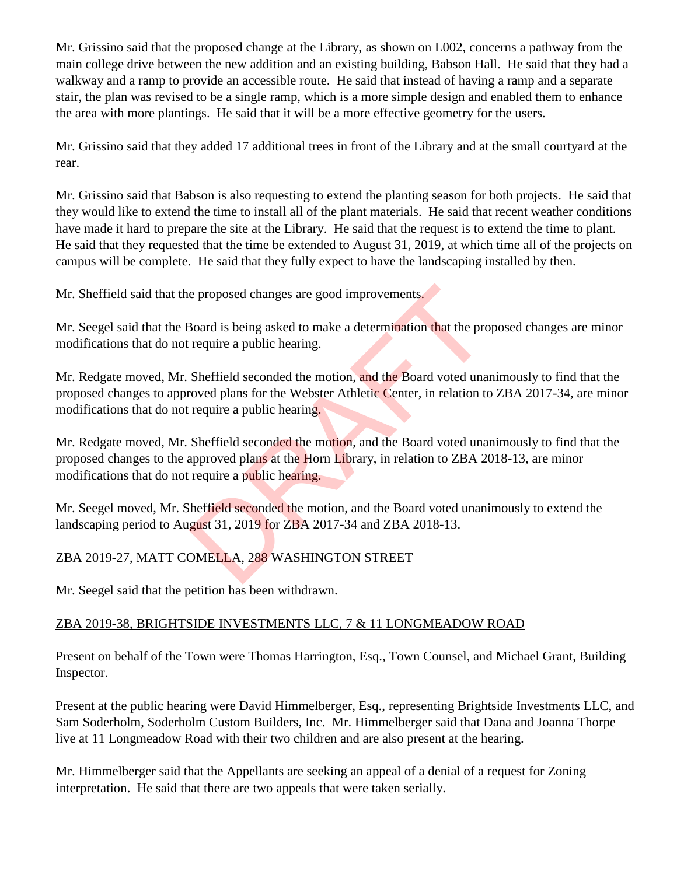Mr. Grissino said that the proposed change at the Library, as shown on L002, concerns a pathway from the main college drive between the new addition and an existing building, Babson Hall. He said that they had a walkway and a ramp to provide an accessible route. He said that instead of having a ramp and a separate stair, the plan was revised to be a single ramp, which is a more simple design and enabled them to enhance the area with more plantings. He said that it will be a more effective geometry for the users.

Mr. Grissino said that they added 17 additional trees in front of the Library and at the small courtyard at the rear.

Mr. Grissino said that Babson is also requesting to extend the planting season for both projects. He said that they would like to extend the time to install all of the plant materials. He said that recent weather conditions have made it hard to prepare the site at the Library. He said that the request is to extend the time to plant. He said that they requested that the time be extended to August 31, 2019, at which time all of the projects on campus will be complete. He said that they fully expect to have the landscaping installed by then.

Mr. Sheffield said that the proposed changes are good improvements.

Mr. Seegel said that the Board is being asked to make a determination that the proposed changes are minor modifications that do not require a public hearing.

Mr. Redgate moved, Mr. Sheffield seconded the motion, and the Board voted unanimously to find that the proposed changes to approved plans for the Webster Athletic Center, in relation to ZBA 2017-34, are minor modifications that do not require a public hearing.

Mr. Redgate moved, Mr. Sheffield seconded the motion, and the Board voted unanimously to find that the proposed changes to the approved plans at the Horn Library, in relation to ZBA 2018-13, are minor modifications that do not require a public hearing. e proposed changes are good improvements.<br>
Board is being asked to make a determination that the provements and the production of the Vebster Athletic Center, in relation to require a public hearing.<br>
Sheffield seconded th

Mr. Seegel moved, Mr. Sheffield seconded the motion, and the Board voted unanimously to extend the landscaping period to August 31, 2019 for ZBA 2017-34 and ZBA 2018-13.

## ZBA 2019-27, MATT COMELLA, 288 WASHINGTON STREET

Mr. Seegel said that the petition has been withdrawn.

## ZBA 2019-38, BRIGHTSIDE INVESTMENTS LLC, 7 & 11 LONGMEADOW ROAD

Present on behalf of the Town were Thomas Harrington, Esq., Town Counsel, and Michael Grant, Building Inspector.

Present at the public hearing were David Himmelberger, Esq., representing Brightside Investments LLC, and Sam Soderholm, Soderholm Custom Builders, Inc. Mr. Himmelberger said that Dana and Joanna Thorpe live at 11 Longmeadow Road with their two children and are also present at the hearing.

Mr. Himmelberger said that the Appellants are seeking an appeal of a denial of a request for Zoning interpretation. He said that there are two appeals that were taken serially.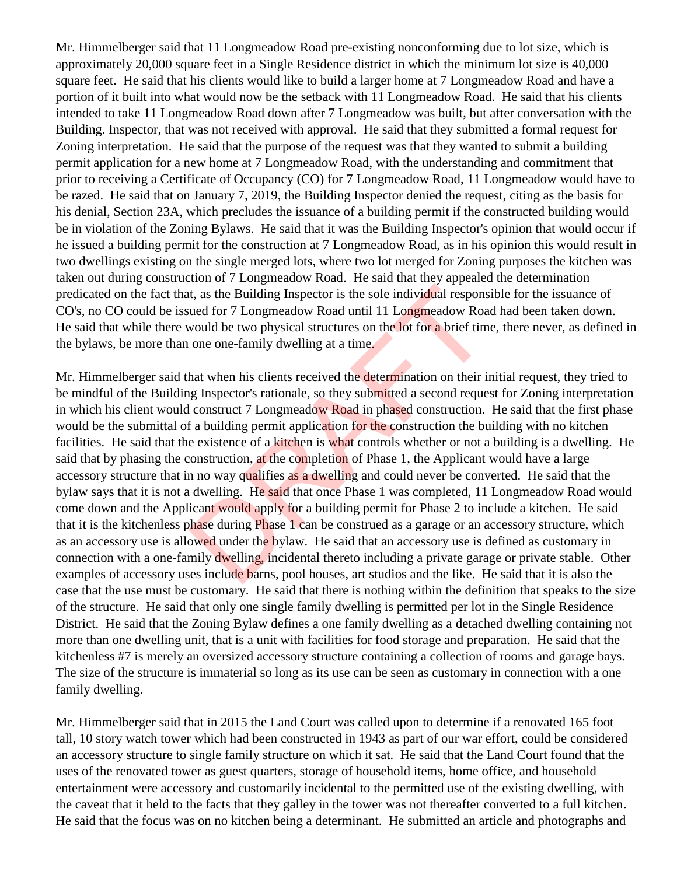Mr. Himmelberger said that 11 Longmeadow Road pre-existing nonconforming due to lot size, which is approximately 20,000 square feet in a Single Residence district in which the minimum lot size is 40,000 square feet. He said that his clients would like to build a larger home at 7 Longmeadow Road and have a portion of it built into what would now be the setback with 11 Longmeadow Road. He said that his clients intended to take 11 Longmeadow Road down after 7 Longmeadow was built, but after conversation with the Building. Inspector, that was not received with approval. He said that they submitted a formal request for Zoning interpretation. He said that the purpose of the request was that they wanted to submit a building permit application for a new home at 7 Longmeadow Road, with the understanding and commitment that prior to receiving a Certificate of Occupancy (CO) for 7 Longmeadow Road, 11 Longmeadow would have to be razed. He said that on January 7, 2019, the Building Inspector denied the request, citing as the basis for his denial, Section 23A, which precludes the issuance of a building permit if the constructed building would be in violation of the Zoning Bylaws. He said that it was the Building Inspector's opinion that would occur if he issued a building permit for the construction at 7 Longmeadow Road, as in his opinion this would result in two dwellings existing on the single merged lots, where two lot merged for Zoning purposes the kitchen was taken out during construction of 7 Longmeadow Road. He said that they appealed the determination predicated on the fact that, as the Building Inspector is the sole individual responsible for the issuance of CO's, no CO could be issued for 7 Longmeadow Road until 11 Longmeadow Road had been taken down. He said that while there would be two physical structures on the lot for a brief time, there never, as defined in the bylaws, be more than one one-family dwelling at a time.

Mr. Himmelberger said that when his clients received the determination on their initial request, they tried to be mindful of the Building Inspector's rationale, so they submitted a second request for Zoning interpretation in which his client would construct 7 Longmeadow Road in phased construction. He said that the first phase would be the submittal of a building permit application for the construction the building with no kitchen facilities. He said that the existence of a kitchen is what controls whether or not a building is a dwelling. He said that by phasing the construction, at the completion of Phase 1, the Applicant would have a large accessory structure that in no way qualifies as a dwelling and could never be converted. He said that the bylaw says that it is not a dwelling. He said that once Phase 1 was completed, 11 Longmeadow Road would come down and the Applicant would apply for a building permit for Phase 2 to include a kitchen. He said that it is the kitchenless phase during Phase 1 can be construed as a garage or an accessory structure, which as an accessory use is allowed under the bylaw. He said that an accessory use is defined as customary in connection with a one-family dwelling, incidental thereto including a private garage or private stable. Other examples of accessory uses include barns, pool houses, art studios and the like. He said that it is also the case that the use must be customary. He said that there is nothing within the definition that speaks to the size of the structure. He said that only one single family dwelling is permitted per lot in the Single Residence District. He said that the Zoning Bylaw defines a one family dwelling as a detached dwelling containing not more than one dwelling unit, that is a unit with facilities for food storage and preparation. He said that the kitchenless #7 is merely an oversized accessory structure containing a collection of rooms and garage bays. The size of the structure is immaterial so long as its use can be seen as customary in connection with a one family dwelling. it, as the Building Inspector is the sole individual response ued for 7 Longmeadow Road until 11 Longmeadow Road would be two physical structures on the lot for a brief tim one one-family dwelling at a time.<br>
hat when his

Mr. Himmelberger said that in 2015 the Land Court was called upon to determine if a renovated 165 foot tall, 10 story watch tower which had been constructed in 1943 as part of our war effort, could be considered an accessory structure to single family structure on which it sat. He said that the Land Court found that the uses of the renovated tower as guest quarters, storage of household items, home office, and household entertainment were accessory and customarily incidental to the permitted use of the existing dwelling, with the caveat that it held to the facts that they galley in the tower was not thereafter converted to a full kitchen. He said that the focus was on no kitchen being a determinant. He submitted an article and photographs and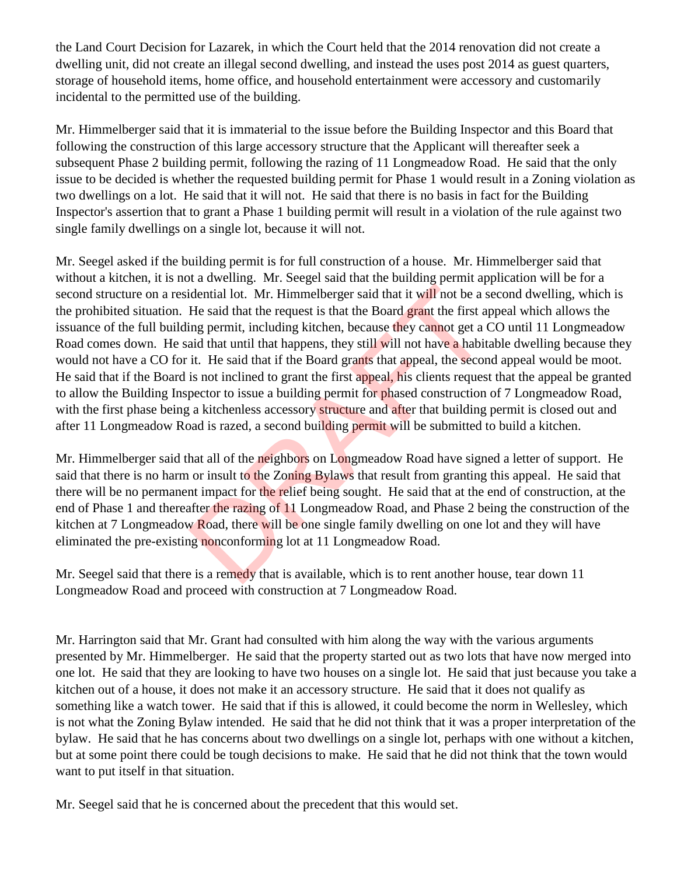the Land Court Decision for Lazarek, in which the Court held that the 2014 renovation did not create a dwelling unit, did not create an illegal second dwelling, and instead the uses post 2014 as guest quarters, storage of household items, home office, and household entertainment were accessory and customarily incidental to the permitted use of the building.

Mr. Himmelberger said that it is immaterial to the issue before the Building Inspector and this Board that following the construction of this large accessory structure that the Applicant will thereafter seek a subsequent Phase 2 building permit, following the razing of 11 Longmeadow Road. He said that the only issue to be decided is whether the requested building permit for Phase 1 would result in a Zoning violation as two dwellings on a lot. He said that it will not. He said that there is no basis in fact for the Building Inspector's assertion that to grant a Phase 1 building permit will result in a violation of the rule against two single family dwellings on a single lot, because it will not.

Mr. Seegel asked if the building permit is for full construction of a house. Mr. Himmelberger said that without a kitchen, it is not a dwelling. Mr. Seegel said that the building permit application will be for a second structure on a residential lot. Mr. Himmelberger said that it will not be a second dwelling, which is the prohibited situation. He said that the request is that the Board grant the first appeal which allows the issuance of the full building permit, including kitchen, because they cannot get a CO until 11 Longmeadow Road comes down. He said that until that happens, they still will not have a habitable dwelling because they would not have a CO for it. He said that if the Board grants that appeal, the second appeal would be moot. He said that if the Board is not inclined to grant the first appeal, his clients request that the appeal be granted to allow the Building Inspector to issue a building permit for phased construction of 7 Longmeadow Road, with the first phase being a kitchenless accessory structure and after that building permit is closed out and after 11 Longmeadow Road is razed, a second building permit will be submitted to build a kitchen. idential lot. Mr. Himmelberger said that it will not be a s<br>He said that the request is that the Board grant the first an<br>ing permit, including kitchen, because they cannot get a G<br>aid that until that happens, they still w

Mr. Himmelberger said that all of the neighbors on Longmeadow Road have signed a letter of support. He said that there is no harm or insult to the Zoning Bylaws that result from granting this appeal. He said that there will be no permanent impact for the relief being sought. He said that at the end of construction, at the end of Phase 1 and thereafter the razing of 11 Longmeadow Road, and Phase 2 being the construction of the kitchen at 7 Longmeadow Road, there will be one single family dwelling on one lot and they will have eliminated the pre-existing nonconforming lot at 11 Longmeadow Road.

Mr. Seegel said that there is a remedy that is available, which is to rent another house, tear down 11 Longmeadow Road and proceed with construction at 7 Longmeadow Road.

Mr. Harrington said that Mr. Grant had consulted with him along the way with the various arguments presented by Mr. Himmelberger. He said that the property started out as two lots that have now merged into one lot. He said that they are looking to have two houses on a single lot. He said that just because you take a kitchen out of a house, it does not make it an accessory structure. He said that it does not qualify as something like a watch tower. He said that if this is allowed, it could become the norm in Wellesley, which is not what the Zoning Bylaw intended. He said that he did not think that it was a proper interpretation of the bylaw. He said that he has concerns about two dwellings on a single lot, perhaps with one without a kitchen, but at some point there could be tough decisions to make. He said that he did not think that the town would want to put itself in that situation.

Mr. Seegel said that he is concerned about the precedent that this would set.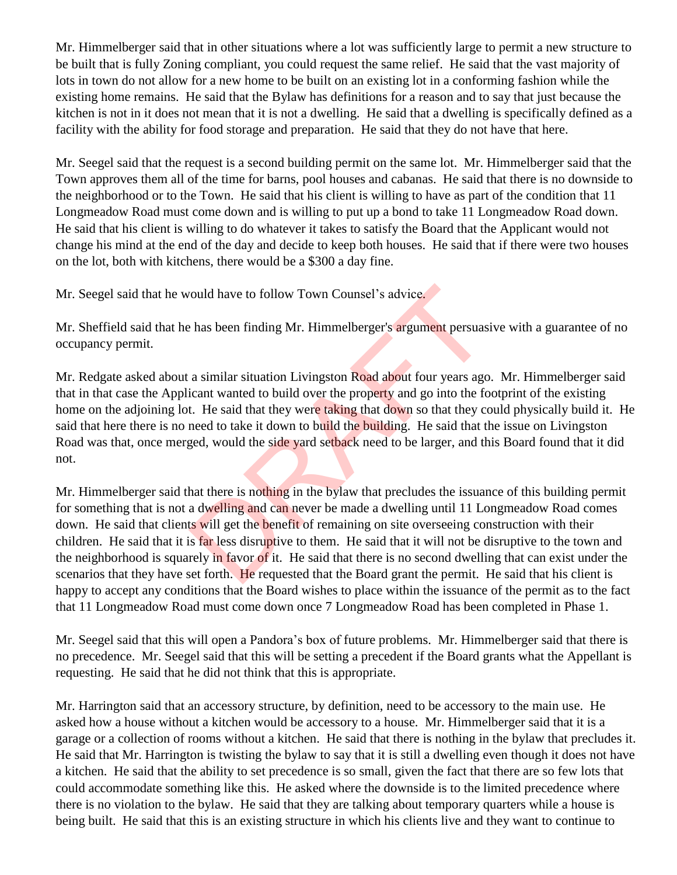Mr. Himmelberger said that in other situations where a lot was sufficiently large to permit a new structure to be built that is fully Zoning compliant, you could request the same relief. He said that the vast majority of lots in town do not allow for a new home to be built on an existing lot in a conforming fashion while the existing home remains. He said that the Bylaw has definitions for a reason and to say that just because the kitchen is not in it does not mean that it is not a dwelling. He said that a dwelling is specifically defined as a facility with the ability for food storage and preparation. He said that they do not have that here.

Mr. Seegel said that the request is a second building permit on the same lot. Mr. Himmelberger said that the Town approves them all of the time for barns, pool houses and cabanas. He said that there is no downside to the neighborhood or to the Town. He said that his client is willing to have as part of the condition that 11 Longmeadow Road must come down and is willing to put up a bond to take 11 Longmeadow Road down. He said that his client is willing to do whatever it takes to satisfy the Board that the Applicant would not change his mind at the end of the day and decide to keep both houses. He said that if there were two houses on the lot, both with kitchens, there would be a \$300 a day fine.

Mr. Seegel said that he would have to follow Town Counsel's advice.

Mr. Sheffield said that he has been finding Mr. Himmelberger's argument persuasive with a guarantee of no occupancy permit.

Mr. Redgate asked about a similar situation Livingston Road about four years ago. Mr. Himmelberger said that in that case the Applicant wanted to build over the property and go into the footprint of the existing home on the adjoining lot. He said that they were taking that down so that they could physically build it. He said that here there is no need to take it down to build the building. He said that the issue on Livingston Road was that, once merged, would the side yard setback need to be larger, and this Board found that it did not.

Mr. Himmelberger said that there is nothing in the bylaw that precludes the issuance of this building permit for something that is not a dwelling and can never be made a dwelling until 11 Longmeadow Road comes down. He said that clients will get the benefit of remaining on site overseeing construction with their children. He said that it is far less disruptive to them. He said that it will not be disruptive to the town and the neighborhood is squarely in favor of it. He said that there is no second dwelling that can exist under the scenarios that they have set forth. He requested that the Board grant the permit. He said that his client is happy to accept any conditions that the Board wishes to place within the issuance of the permit as to the fact that 11 Longmeadow Road must come down once 7 Longmeadow Road has been completed in Phase 1. From the solel and the Board about for the said that the Board and the set of the required to the required to the said that they were taking that down so that they consed to take it down to build the building. He said that

Mr. Seegel said that this will open a Pandora's box of future problems. Mr. Himmelberger said that there is no precedence. Mr. Seegel said that this will be setting a precedent if the Board grants what the Appellant is requesting. He said that he did not think that this is appropriate.

Mr. Harrington said that an accessory structure, by definition, need to be accessory to the main use. He asked how a house without a kitchen would be accessory to a house. Mr. Himmelberger said that it is a garage or a collection of rooms without a kitchen. He said that there is nothing in the bylaw that precludes it. He said that Mr. Harrington is twisting the bylaw to say that it is still a dwelling even though it does not have a kitchen. He said that the ability to set precedence is so small, given the fact that there are so few lots that could accommodate something like this. He asked where the downside is to the limited precedence where there is no violation to the bylaw. He said that they are talking about temporary quarters while a house is being built. He said that this is an existing structure in which his clients live and they want to continue to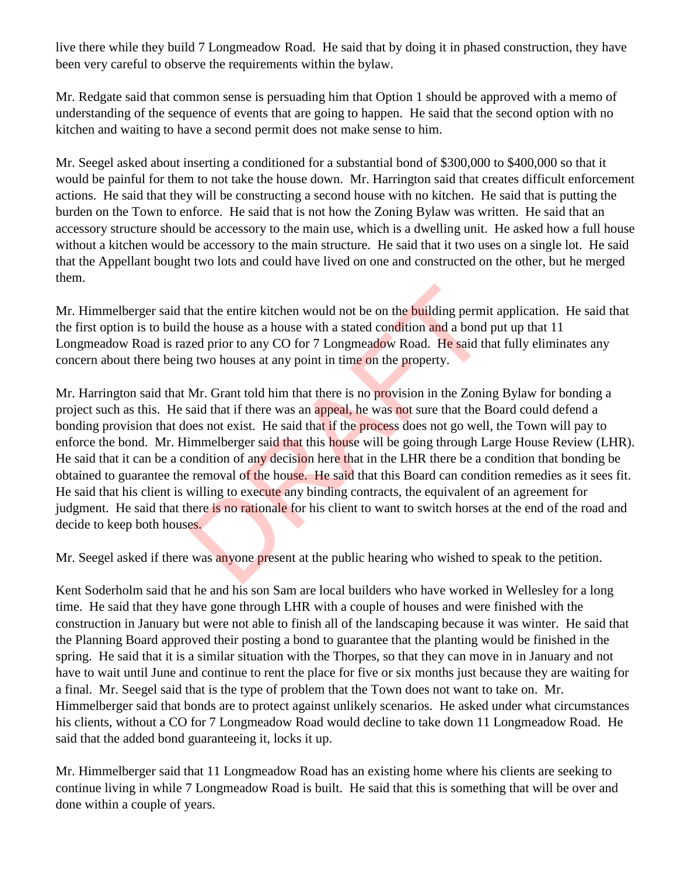live there while they build 7 Longmeadow Road. He said that by doing it in phased construction, they have been very careful to observe the requirements within the bylaw.

Mr. Redgate said that common sense is persuading him that Option 1 should be approved with a memo of understanding of the sequence of events that are going to happen. He said that the second option with no kitchen and waiting to have a second permit does not make sense to him.

Mr. Seegel asked about inserting a conditioned for a substantial bond of \$300,000 to \$400,000 so that it would be painful for them to not take the house down. Mr. Harrington said that creates difficult enforcement actions. He said that they will be constructing a second house with no kitchen. He said that is putting the burden on the Town to enforce. He said that is not how the Zoning Bylaw was written. He said that an accessory structure should be accessory to the main use, which is a dwelling unit. He asked how a full house without a kitchen would be accessory to the main structure. He said that it two uses on a single lot. He said that the Appellant bought two lots and could have lived on one and constructed on the other, but he merged them.

Mr. Himmelberger said that the entire kitchen would not be on the **building permit application**. He said that the first option is to build the house as a house with a stated condition and a bond put up that 11 Longmeadow Road is razed prior to any CO for 7 Longmeadow Road. He said that fully eliminates any concern about there being two houses at any point in time on the property.

Mr. Harrington said that Mr. Grant told him that there is no provision in the Zoning Bylaw for bonding a project such as this. He said that if there was an appeal, he was not sure that the Board could defend a bonding provision that does not exist. He said that if the process does not go well, the Town will pay to enforce the bond. Mr. Himmelberger said that this house will be going through Large House Review (LHR). He said that it can be a condition of any decision here that in the LHR there be a condition that bonding be obtained to guarantee the removal of the house. He said that this Board can condition remedies as it sees fit. He said that his client is willing to execute any binding contracts, the equivalent of an agreement for judgment. He said that there is no rationale for his client to want to switch horses at the end of the road and decide to keep both houses. hat the entire kitchen would not be on the **building** permit the house as a house with a stated condition and a bond zed prior to any CO for 7 Longmeadow Road. He said the get wo houses at any point in time on the property

Mr. Seegel asked if there was anyone present at the public hearing who wished to speak to the petition.

Kent Soderholm said that he and his son Sam are local builders who have worked in Wellesley for a long time. He said that they have gone through LHR with a couple of houses and were finished with the construction in January but were not able to finish all of the landscaping because it was winter. He said that the Planning Board approved their posting a bond to guarantee that the planting would be finished in the spring. He said that it is a similar situation with the Thorpes, so that they can move in in January and not have to wait until June and continue to rent the place for five or six months just because they are waiting for a final. Mr. Seegel said that is the type of problem that the Town does not want to take on. Mr. Himmelberger said that bonds are to protect against unlikely scenarios. He asked under what circumstances his clients, without a CO for 7 Longmeadow Road would decline to take down 11 Longmeadow Road. He said that the added bond guaranteeing it, locks it up.

Mr. Himmelberger said that 11 Longmeadow Road has an existing home where his clients are seeking to continue living in while 7 Longmeadow Road is built. He said that this is something that will be over and done within a couple of years.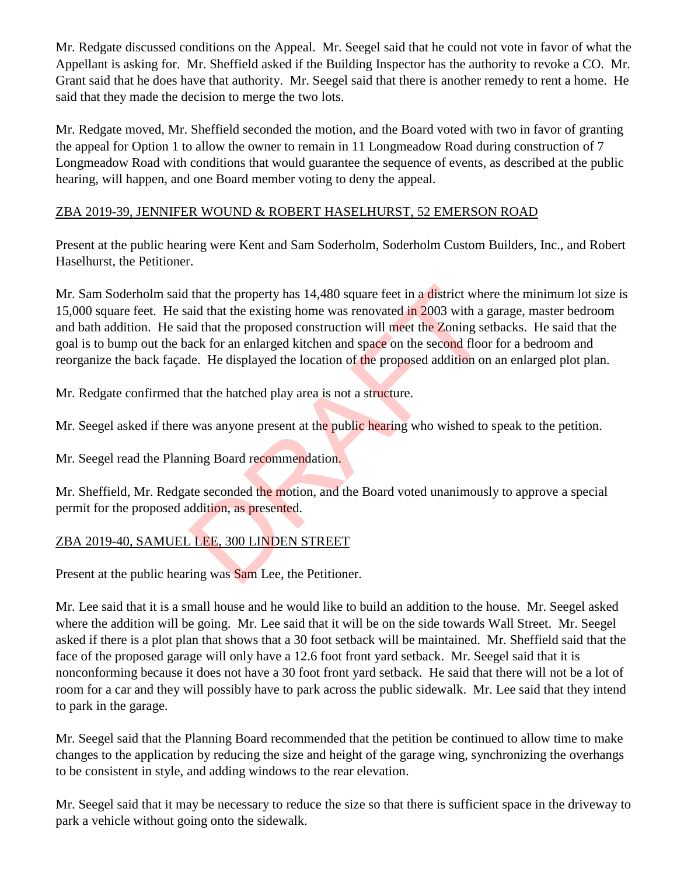Mr. Redgate discussed conditions on the Appeal. Mr. Seegel said that he could not vote in favor of what the Appellant is asking for. Mr. Sheffield asked if the Building Inspector has the authority to revoke a CO. Mr. Grant said that he does have that authority. Mr. Seegel said that there is another remedy to rent a home. He said that they made the decision to merge the two lots.

Mr. Redgate moved, Mr. Sheffield seconded the motion, and the Board voted with two in favor of granting the appeal for Option 1 to allow the owner to remain in 11 Longmeadow Road during construction of 7 Longmeadow Road with conditions that would guarantee the sequence of events, as described at the public hearing, will happen, and one Board member voting to deny the appeal.

## ZBA 2019-39, JENNIFER WOUND & ROBERT HASELHURST, 52 EMERSON ROAD

Present at the public hearing were Kent and Sam Soderholm, Soderholm Custom Builders, Inc., and Robert Haselhurst, the Petitioner.

Mr. Sam Soderholm said that the property has 14,480 square feet in a district where the minimum lot size is 15,000 square feet. He said that the existing home was renovated in 2003 with a garage, master bedroom and bath addition. He said that the proposed construction will meet the Zoning setbacks. He said that the goal is to bump out the back for an enlarged kitchen and space on the second floor for a bedroom and reorganize the back façade. He displayed the location of the proposed addition on an enlarged plot plan. that the property has 14,480 square feet in a district whe<br>aid that the existing home was renovated in 2003 with a g<br>id that the proposed construction will meet the Zoning se<br>ack for an enlarged kitchen and space on the se

Mr. Redgate confirmed that the hatched play area is not a structure.

Mr. Seegel asked if there was anyone present at the public hearing who wished to speak to the petition.

Mr. Seegel read the Planning Board recommendation.

Mr. Sheffield, Mr. Redgate seconded the motion, and the Board voted unanimously to approve a special permit for the proposed addition, as presented.

# ZBA 2019-40, SAMUEL LEE, 300 LINDEN STREET

Present at the public hearing was Sam Lee, the Petitioner.

Mr. Lee said that it is a small house and he would like to build an addition to the house. Mr. Seegel asked where the addition will be going. Mr. Lee said that it will be on the side towards Wall Street. Mr. Seegel asked if there is a plot plan that shows that a 30 foot setback will be maintained. Mr. Sheffield said that the face of the proposed garage will only have a 12.6 foot front yard setback. Mr. Seegel said that it is nonconforming because it does not have a 30 foot front yard setback. He said that there will not be a lot of room for a car and they will possibly have to park across the public sidewalk. Mr. Lee said that they intend to park in the garage.

Mr. Seegel said that the Planning Board recommended that the petition be continued to allow time to make changes to the application by reducing the size and height of the garage wing, synchronizing the overhangs to be consistent in style, and adding windows to the rear elevation.

Mr. Seegel said that it may be necessary to reduce the size so that there is sufficient space in the driveway to park a vehicle without going onto the sidewalk.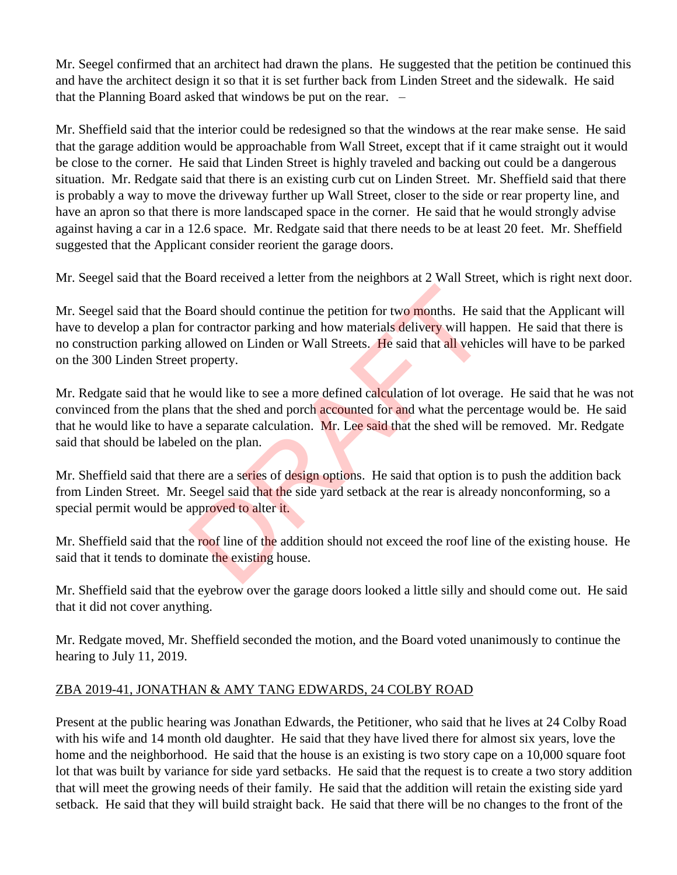Mr. Seegel confirmed that an architect had drawn the plans. He suggested that the petition be continued this and have the architect design it so that it is set further back from Linden Street and the sidewalk. He said that the Planning Board asked that windows be put on the rear. –

Mr. Sheffield said that the interior could be redesigned so that the windows at the rear make sense. He said that the garage addition would be approachable from Wall Street, except that if it came straight out it would be close to the corner. He said that Linden Street is highly traveled and backing out could be a dangerous situation. Mr. Redgate said that there is an existing curb cut on Linden Street. Mr. Sheffield said that there is probably a way to move the driveway further up Wall Street, closer to the side or rear property line, and have an apron so that there is more landscaped space in the corner. He said that he would strongly advise against having a car in a 12.6 space. Mr. Redgate said that there needs to be at least 20 feet. Mr. Sheffield suggested that the Applicant consider reorient the garage doors.

Mr. Seegel said that the Board received a letter from the neighbors at 2 Wall Street, which is right next door.

Mr. Seegel said that the Board should continue the petition for two months. He said that the Applicant will have to develop a plan for contractor parking and how materials delivery will happen. He said that there is no construction parking allowed on Linden or Wall Streets. He said that all vehicles will have to be parked on the 300 Linden Street property. Board should continue the petition for two months. He set of contractor parking and how materials delivery will hap allowed on Linden or Wall Streets. He said that all vehic property.<br>Would like to see a more defined calcu

Mr. Redgate said that he would like to see a more defined calculation of lot overage. He said that he was not convinced from the plans that the shed and porch accounted for and what the percentage would be. He said that he would like to have a separate calculation. Mr. Lee said that the shed will be removed. Mr. Redgate said that should be labeled on the plan.

Mr. Sheffield said that there are a series of design options. He said that option is to push the addition back from Linden Street. Mr. Seegel said that the side yard setback at the rear is already nonconforming, so a special permit would be approved to alter it.

Mr. Sheffield said that the roof line of the addition should not exceed the roof line of the existing house. He said that it tends to dominate the existing house.

Mr. Sheffield said that the eyebrow over the garage doors looked a little silly and should come out. He said that it did not cover anything.

Mr. Redgate moved, Mr. Sheffield seconded the motion, and the Board voted unanimously to continue the hearing to July 11, 2019.

## ZBA 2019-41, JONATHAN & AMY TANG EDWARDS, 24 COLBY ROAD

Present at the public hearing was Jonathan Edwards, the Petitioner, who said that he lives at 24 Colby Road with his wife and 14 month old daughter. He said that they have lived there for almost six years, love the home and the neighborhood. He said that the house is an existing is two story cape on a 10,000 square foot lot that was built by variance for side yard setbacks. He said that the request is to create a two story addition that will meet the growing needs of their family. He said that the addition will retain the existing side yard setback. He said that they will build straight back. He said that there will be no changes to the front of the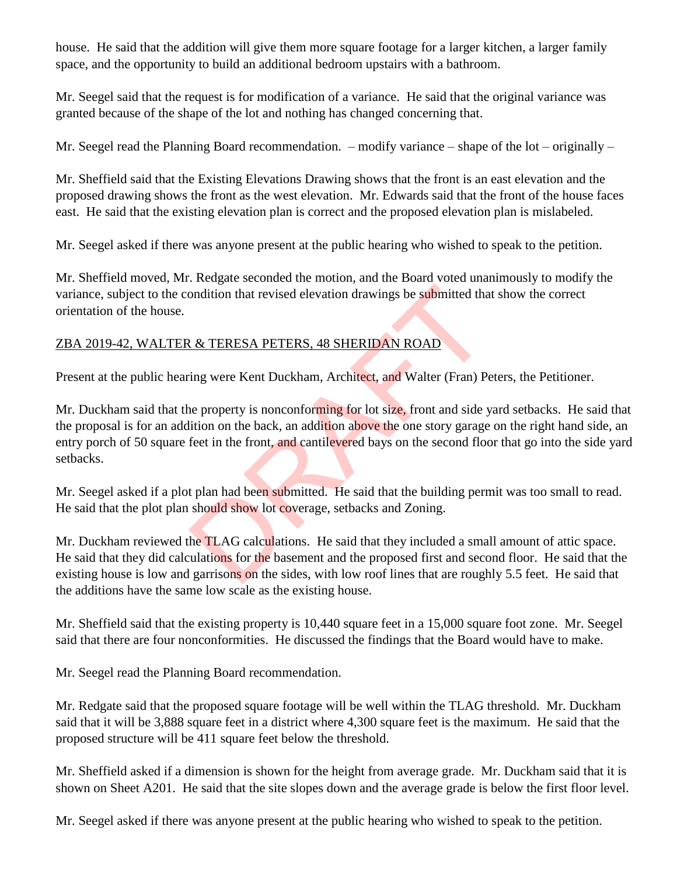house. He said that the addition will give them more square footage for a larger kitchen, a larger family space, and the opportunity to build an additional bedroom upstairs with a bathroom.

Mr. Seegel said that the request is for modification of a variance. He said that the original variance was granted because of the shape of the lot and nothing has changed concerning that.

Mr. Seegel read the Planning Board recommendation. – modify variance – shape of the lot – originally –

Mr. Sheffield said that the Existing Elevations Drawing shows that the front is an east elevation and the proposed drawing shows the front as the west elevation. Mr. Edwards said that the front of the house faces east. He said that the existing elevation plan is correct and the proposed elevation plan is mislabeled.

Mr. Seegel asked if there was anyone present at the public hearing who wished to speak to the petition.

Mr. Sheffield moved, Mr. Redgate seconded the motion, and the Board voted unanimously to modify the variance, subject to the condition that revised elevation drawings be submitted that show the correct orientation of the house.

## ZBA 2019-42, WALTER & TERESA PETERS, 48 SHERIDAN ROAD

Present at the public hearing were Kent Duckham, Architect, and Walter (Fran) Peters, the Petitioner.

Mr. Duckham said that the property is nonconforming for lot size, front and side yard setbacks. He said that the proposal is for an addition on the back, an addition above the one story garage on the right hand side, an entry porch of 50 square feet in the front, and cantilevered bays on the second floor that go into the side yard setbacks. ondition that revised elevation drawings be submitted tha<br>
2. & TERESA PETERS, 48 SHERIDAN ROAD<br>
ing were Kent Duckham, Architect, and Walter (Fran) P<br>
ing were Kent Duckham, Architect, and Walter (Fran) P<br>
ie property is

Mr. Seegel asked if a plot plan had been submitted. He said that the building permit was too small to read. He said that the plot plan should show lot coverage, setbacks and Zoning.

Mr. Duckham reviewed the TLAG calculations. He said that they included a small amount of attic space. He said that they did calculations for the basement and the proposed first and second floor. He said that the existing house is low and garrisons on the sides, with low roof lines that are roughly 5.5 feet. He said that the additions have the same low scale as the existing house.

Mr. Sheffield said that the existing property is 10,440 square feet in a 15,000 square foot zone. Mr. Seegel said that there are four nonconformities. He discussed the findings that the Board would have to make.

Mr. Seegel read the Planning Board recommendation.

Mr. Redgate said that the proposed square footage will be well within the TLAG threshold. Mr. Duckham said that it will be 3,888 square feet in a district where 4,300 square feet is the maximum. He said that the proposed structure will be 411 square feet below the threshold.

Mr. Sheffield asked if a dimension is shown for the height from average grade. Mr. Duckham said that it is shown on Sheet A201. He said that the site slopes down and the average grade is below the first floor level.

Mr. Seegel asked if there was anyone present at the public hearing who wished to speak to the petition.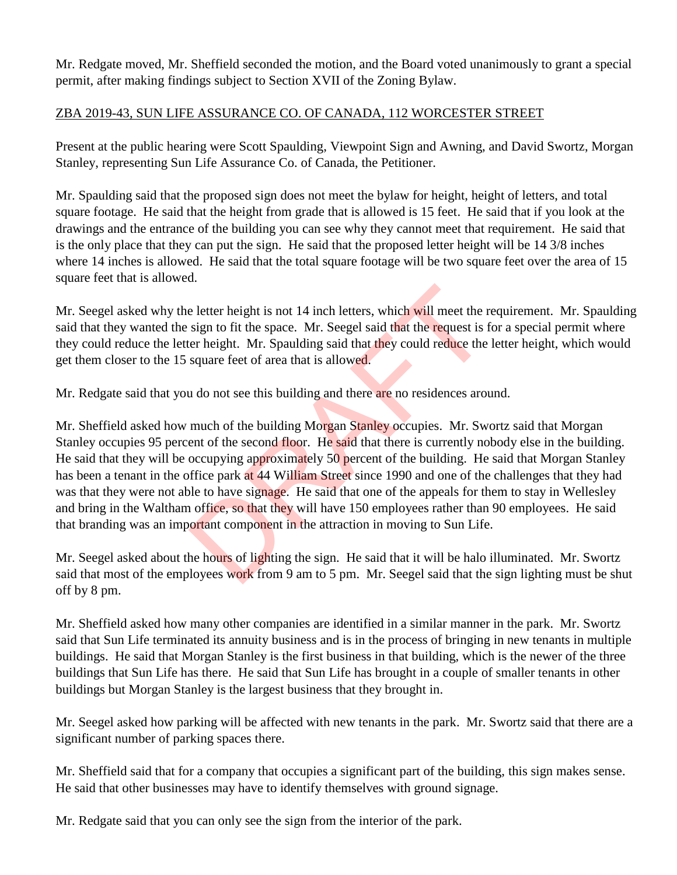Mr. Redgate moved, Mr. Sheffield seconded the motion, and the Board voted unanimously to grant a special permit, after making findings subject to Section XVII of the Zoning Bylaw.

## ZBA 2019-43, SUN LIFE ASSURANCE CO. OF CANADA, 112 WORCESTER STREET

Present at the public hearing were Scott Spaulding, Viewpoint Sign and Awning, and David Swortz, Morgan Stanley, representing Sun Life Assurance Co. of Canada, the Petitioner.

Mr. Spaulding said that the proposed sign does not meet the bylaw for height, height of letters, and total square footage. He said that the height from grade that is allowed is 15 feet. He said that if you look at the drawings and the entrance of the building you can see why they cannot meet that requirement. He said that is the only place that they can put the sign. He said that the proposed letter height will be 14 3/8 inches where 14 inches is allowed. He said that the total square footage will be two square feet over the area of 15 square feet that is allowed.

Mr. Seegel asked why the letter height is not 14 inch letters, which will meet the requirement. Mr. Spaulding said that they wanted the sign to fit the space. Mr. Seegel said that the request is for a special permit where they could reduce the letter height. Mr. Spaulding said that they could reduce the letter height, which would get them closer to the 15 square feet of area that is allowed.

Mr. Redgate said that you do not see this building and there are no residences around.

Mr. Sheffield asked how much of the building Morgan Stanley occupies. Mr. Swortz said that Morgan Stanley occupies 95 percent of the second floor. He said that there is currently nobody else in the building. He said that they will be occupying approximately 50 percent of the building. He said that Morgan Stanley has been a tenant in the office park at 44 William Street since 1990 and one of the challenges that they had was that they were not able to have signage. He said that one of the appeals for them to stay in Wellesley and bring in the Waltham office, so that they will have 150 employees rather than 90 employees. He said that branding was an important component in the attraction in moving to Sun Life. e letter height is not 14 inch letters, which will meet the r<br>sign to fit the space. Mr. Seegel said that the request is ter height. Mr. Spaulding said that they could reduce the<br>square feet of area that is allowed.<br>u do n

Mr. Seegel asked about the hours of lighting the sign. He said that it will be halo illuminated. Mr. Swortz said that most of the employees work from 9 am to 5 pm. Mr. Seegel said that the sign lighting must be shut off by 8 pm.

Mr. Sheffield asked how many other companies are identified in a similar manner in the park. Mr. Swortz said that Sun Life terminated its annuity business and is in the process of bringing in new tenants in multiple buildings. He said that Morgan Stanley is the first business in that building, which is the newer of the three buildings that Sun Life has there. He said that Sun Life has brought in a couple of smaller tenants in other buildings but Morgan Stanley is the largest business that they brought in.

Mr. Seegel asked how parking will be affected with new tenants in the park. Mr. Swortz said that there are a significant number of parking spaces there.

Mr. Sheffield said that for a company that occupies a significant part of the building, this sign makes sense. He said that other businesses may have to identify themselves with ground signage.

Mr. Redgate said that you can only see the sign from the interior of the park.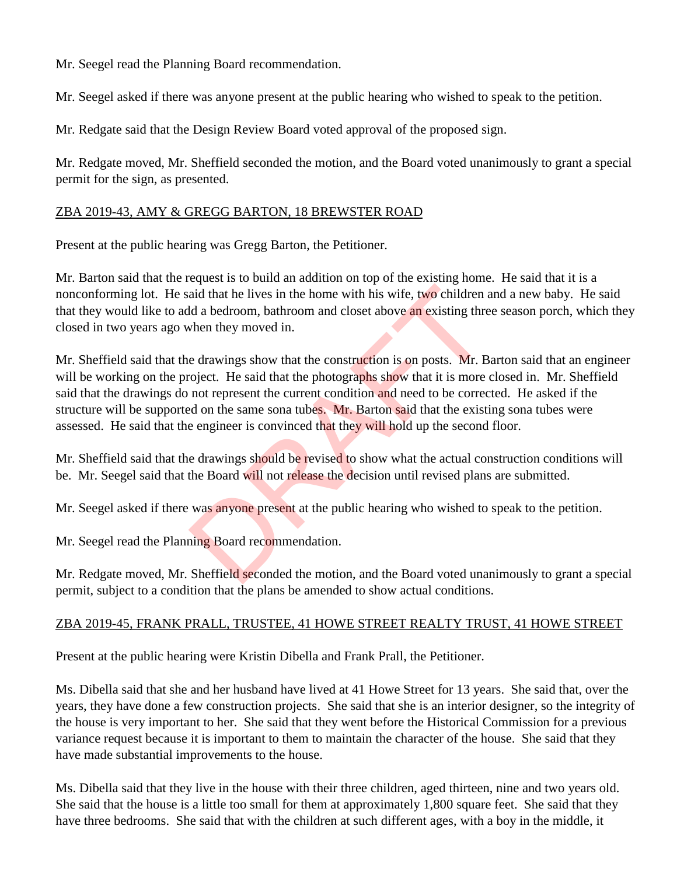Mr. Seegel read the Planning Board recommendation.

Mr. Seegel asked if there was anyone present at the public hearing who wished to speak to the petition.

Mr. Redgate said that the Design Review Board voted approval of the proposed sign.

Mr. Redgate moved, Mr. Sheffield seconded the motion, and the Board voted unanimously to grant a special permit for the sign, as presented.

#### ZBA 2019-43, AMY & GREGG BARTON, 18 BREWSTER ROAD

Present at the public hearing was Gregg Barton, the Petitioner.

Mr. Barton said that the request is to build an addition on top of the existing home. He said that it is a nonconforming lot. He said that he lives in the home with his wife, two children and a new baby. He said that they would like to add a bedroom, bathroom and closet above an existing three season porch, which they closed in two years ago when they moved in.

Mr. Sheffield said that the drawings show that the construction is on posts. Mr. Barton said that an engineer will be working on the project. He said that the photographs show that it is more closed in. Mr. Sheffield said that the drawings do not represent the current condition and need to be corrected. He asked if the structure will be supported on the same sona tubes. Mr. Barton said that the existing sona tubes were assessed. He said that the engineer is convinced that they will hold up the second floor. aid that he lives in the home with his wife, two children and a bedroom, bathroom and closet above an existing thre<br>then they moved in.<br>e drawings show that the construction is on posts. Mr. B<br>oject. He said that the photo

Mr. Sheffield said that the drawings should be revised to show what the actual construction conditions will be. Mr. Seegel said that the Board will not release the decision until revised plans are submitted.

Mr. Seegel asked if there was anyone present at the public hearing who wished to speak to the petition.

Mr. Seegel read the Planning Board recommendation.

Mr. Redgate moved, Mr. Sheffield seconded the motion, and the Board voted unanimously to grant a special permit, subject to a condition that the plans be amended to show actual conditions.

#### ZBA 2019-45, FRANK PRALL, TRUSTEE, 41 HOWE STREET REALTY TRUST, 41 HOWE STREET

Present at the public hearing were Kristin Dibella and Frank Prall, the Petitioner.

Ms. Dibella said that she and her husband have lived at 41 Howe Street for 13 years. She said that, over the years, they have done a few construction projects. She said that she is an interior designer, so the integrity of the house is very important to her. She said that they went before the Historical Commission for a previous variance request because it is important to them to maintain the character of the house. She said that they have made substantial improvements to the house.

Ms. Dibella said that they live in the house with their three children, aged thirteen, nine and two years old. She said that the house is a little too small for them at approximately 1,800 square feet. She said that they have three bedrooms. She said that with the children at such different ages, with a boy in the middle, it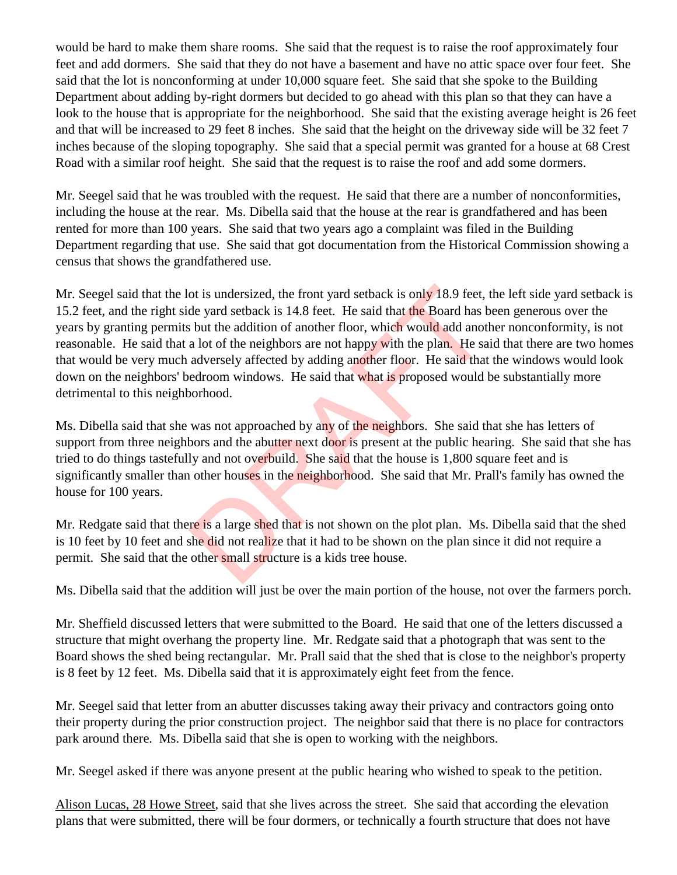would be hard to make them share rooms. She said that the request is to raise the roof approximately four feet and add dormers. She said that they do not have a basement and have no attic space over four feet. She said that the lot is nonconforming at under 10,000 square feet. She said that she spoke to the Building Department about adding by-right dormers but decided to go ahead with this plan so that they can have a look to the house that is appropriate for the neighborhood. She said that the existing average height is 26 feet and that will be increased to 29 feet 8 inches. She said that the height on the driveway side will be 32 feet 7 inches because of the sloping topography. She said that a special permit was granted for a house at 68 Crest Road with a similar roof height. She said that the request is to raise the roof and add some dormers.

Mr. Seegel said that he was troubled with the request. He said that there are a number of nonconformities, including the house at the rear. Ms. Dibella said that the house at the rear is grandfathered and has been rented for more than 100 years. She said that two years ago a complaint was filed in the Building Department regarding that use. She said that got documentation from the Historical Commission showing a census that shows the grandfathered use.

Mr. Seegel said that the lot is undersized, the front yard setback is only 18.9 feet, the left side yard setback is 15.2 feet, and the right side yard setback is 14.8 feet. He said that the Board has been generous over the years by granting permits but the addition of another floor, which would add another nonconformity, is not reasonable. He said that a lot of the neighbors are not happy with the plan. He said that there are two homes that would be very much adversely affected by adding another floor. He said that the windows would look down on the neighbors' bedroom windows. He said that what is proposed would be substantially more detrimental to this neighborhood. ot is undersized, the front yard setback is only 18.9 feet,<br>de yard setback is 14.8 feet. He said that the Board has b<br>s but the addition of another floor, which would add anot<br>a lot of the neighbors are not happy with the

Ms. Dibella said that she was not approached by any of the neighbors. She said that she has letters of support from three neighbors and the abutter next door is present at the public hearing. She said that she has tried to do things tastefully and not overbuild. She said that the house is 1,800 square feet and is significantly smaller than other houses in the neighborhood. She said that Mr. Prall's family has owned the house for 100 years.

Mr. Redgate said that there is a large shed that is not shown on the plot plan. Ms. Dibella said that the shed is 10 feet by 10 feet and she did not realize that it had to be shown on the plan since it did not require a permit. She said that the other small structure is a kids tree house.

Ms. Dibella said that the addition will just be over the main portion of the house, not over the farmers porch.

Mr. Sheffield discussed letters that were submitted to the Board. He said that one of the letters discussed a structure that might overhang the property line. Mr. Redgate said that a photograph that was sent to the Board shows the shed being rectangular. Mr. Prall said that the shed that is close to the neighbor's property is 8 feet by 12 feet. Ms. Dibella said that it is approximately eight feet from the fence.

Mr. Seegel said that letter from an abutter discusses taking away their privacy and contractors going onto their property during the prior construction project. The neighbor said that there is no place for contractors park around there. Ms. Dibella said that she is open to working with the neighbors.

Mr. Seegel asked if there was anyone present at the public hearing who wished to speak to the petition.

Alison Lucas, 28 Howe Street, said that she lives across the street. She said that according the elevation plans that were submitted, there will be four dormers, or technically a fourth structure that does not have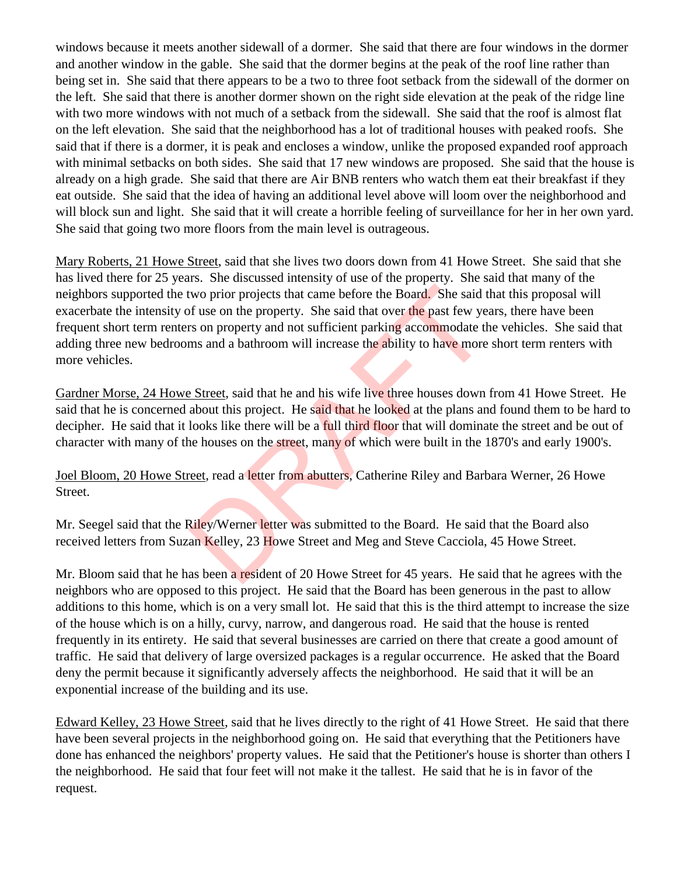windows because it meets another sidewall of a dormer. She said that there are four windows in the dormer and another window in the gable. She said that the dormer begins at the peak of the roof line rather than being set in. She said that there appears to be a two to three foot setback from the sidewall of the dormer on the left. She said that there is another dormer shown on the right side elevation at the peak of the ridge line with two more windows with not much of a setback from the sidewall. She said that the roof is almost flat on the left elevation. She said that the neighborhood has a lot of traditional houses with peaked roofs. She said that if there is a dormer, it is peak and encloses a window, unlike the proposed expanded roof approach with minimal setbacks on both sides. She said that 17 new windows are proposed. She said that the house is already on a high grade. She said that there are Air BNB renters who watch them eat their breakfast if they eat outside. She said that the idea of having an additional level above will loom over the neighborhood and will block sun and light. She said that it will create a horrible feeling of surveillance for her in her own yard. She said that going two more floors from the main level is outrageous.

Mary Roberts, 21 Howe Street, said that she lives two doors down from 41 Howe Street. She said that she has lived there for 25 years. She discussed intensity of use of the property. She said that many of the neighbors supported the two prior projects that came before the Board. She said that this proposal will exacerbate the intensity of use on the property. She said that over the past few years, there have been frequent short term renters on property and not sufficient parking accommodate the vehicles. She said that adding three new bedrooms and a bathroom will increase the ability to have more short term renters with more vehicles. two prior projects that came before the Board. She said to the property. She said that over the past few yes son property and not sufficient parking accommodate the said and a bathroom will increase the ability to have mor

Gardner Morse, 24 Howe Street, said that he and his wife live three houses down from 41 Howe Street. He said that he is concerned about this project. He said that he looked at the plans and found them to be hard to decipher. He said that it looks like there will be a full third floor that will dominate the street and be out of character with many of the houses on the street, many of which were built in the 1870's and early 1900's.

Joel Bloom, 20 Howe Street, read a letter from abutters, Catherine Riley and Barbara Werner, 26 Howe Street.

Mr. Seegel said that the Riley/Werner letter was submitted to the Board. He said that the Board also received letters from Suzan Kelley, 23 Howe Street and Meg and Steve Cacciola, 45 Howe Street.

Mr. Bloom said that he has been a resident of 20 Howe Street for 45 years. He said that he agrees with the neighbors who are opposed to this project. He said that the Board has been generous in the past to allow additions to this home, which is on a very small lot. He said that this is the third attempt to increase the size of the house which is on a hilly, curvy, narrow, and dangerous road. He said that the house is rented frequently in its entirety. He said that several businesses are carried on there that create a good amount of traffic. He said that delivery of large oversized packages is a regular occurrence. He asked that the Board deny the permit because it significantly adversely affects the neighborhood. He said that it will be an exponential increase of the building and its use.

Edward Kelley, 23 Howe Street, said that he lives directly to the right of 41 Howe Street. He said that there have been several projects in the neighborhood going on. He said that everything that the Petitioners have done has enhanced the neighbors' property values. He said that the Petitioner's house is shorter than others I the neighborhood. He said that four feet will not make it the tallest. He said that he is in favor of the request.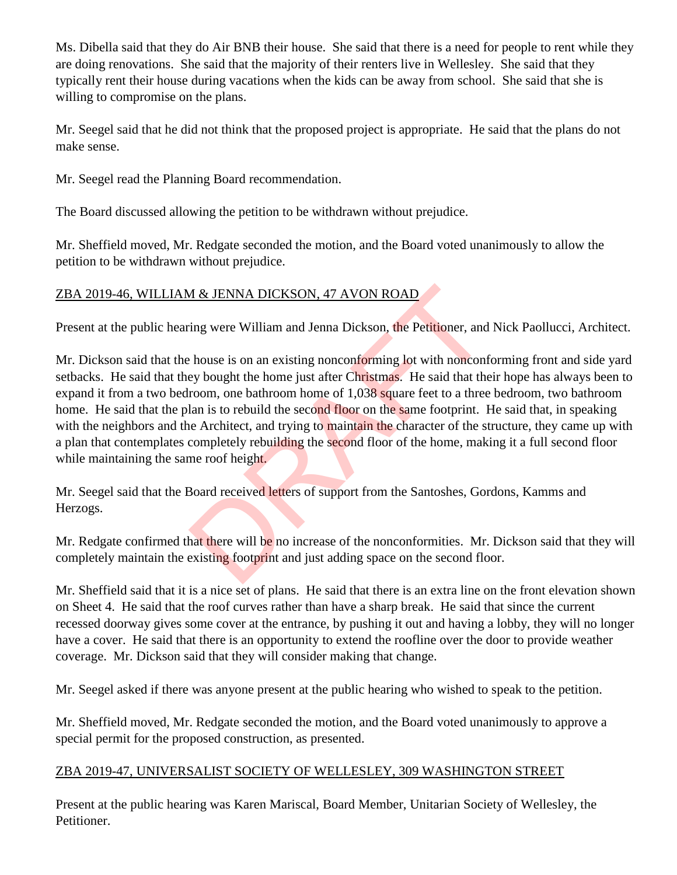Ms. Dibella said that they do Air BNB their house. She said that there is a need for people to rent while they are doing renovations. She said that the majority of their renters live in Wellesley. She said that they typically rent their house during vacations when the kids can be away from school. She said that she is willing to compromise on the plans.

Mr. Seegel said that he did not think that the proposed project is appropriate. He said that the plans do not make sense.

Mr. Seegel read the Planning Board recommendation.

The Board discussed allowing the petition to be withdrawn without prejudice.

Mr. Sheffield moved, Mr. Redgate seconded the motion, and the Board voted unanimously to allow the petition to be withdrawn without prejudice.

## ZBA 2019-46, WILLIAM & JENNA DICKSON, 47 AVON ROAD

Present at the public hearing were William and Jenna Dickson, the Petitioner, and Nick Paollucci, Architect.

Mr. Dickson said that the house is on an existing nonconforming lot with nonconforming front and side yard setbacks. He said that they bought the home just after Christmas. He said that their hope has always been to expand it from a two bedroom, one bathroom home of 1,038 square feet to a three bedroom, two bathroom home. He said that the plan is to rebuild the second floor on the same footprint. He said that, in speaking with the neighbors and the Architect, and trying to maintain the character of the structure, they came up with a plan that contemplates completely rebuilding the second floor of the home, making it a full second floor while maintaining the same roof height. M & JENNA DICKSON, 47 AVON ROAD<br>
ing were William and Jenna Dickson, the Petitioner, and<br>
thouse is on an existing nonconforming lot with nonconf<br>
ey bought the home just after Christmas. He said that the<br>
room, one bathro

Mr. Seegel said that the Board received letters of support from the Santoshes, Gordons, Kamms and Herzogs.

Mr. Redgate confirmed that there will be no increase of the nonconformities. Mr. Dickson said that they will completely maintain the existing footprint and just adding space on the second floor.

Mr. Sheffield said that it is a nice set of plans. He said that there is an extra line on the front elevation shown on Sheet 4. He said that the roof curves rather than have a sharp break. He said that since the current recessed doorway gives some cover at the entrance, by pushing it out and having a lobby, they will no longer have a cover. He said that there is an opportunity to extend the roofline over the door to provide weather coverage. Mr. Dickson said that they will consider making that change.

Mr. Seegel asked if there was anyone present at the public hearing who wished to speak to the petition.

Mr. Sheffield moved, Mr. Redgate seconded the motion, and the Board voted unanimously to approve a special permit for the proposed construction, as presented.

## ZBA 2019-47, UNIVERSALIST SOCIETY OF WELLESLEY, 309 WASHINGTON STREET

Present at the public hearing was Karen Mariscal, Board Member, Unitarian Society of Wellesley, the Petitioner.